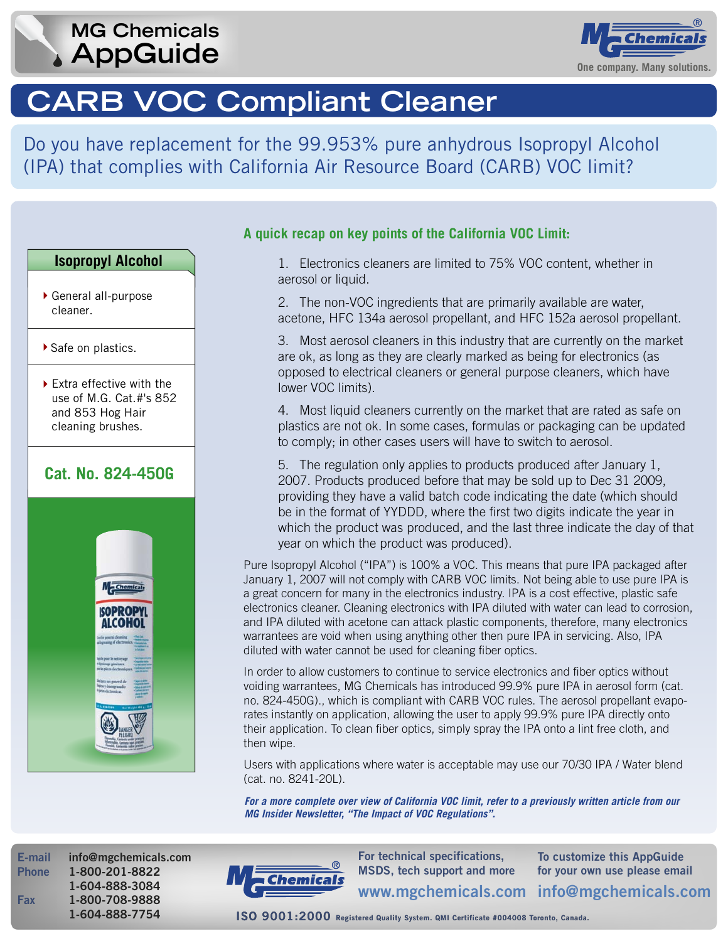# **AppGuide** *Company. Many solutions.* **MG Chemicals**



# **CARB VOC Compliant Cleaner**

Do you have replacement for the 99.953% pure anhydrous Isopropyl Alcohol (IPA) that complies with California Air Resource Board (CARB) VOC limit?

### **Isopropyl Alcohol**

- General all-purpose cleaner.
- ▶ Safe on plastics.
- ▶ Extra effective with the use of M.G. Cat.#'s 852 and 853 Hog Hair cleaning brushes.

## **Cat. No. [824-450G](http://www.mgchemicals.ca/products/824aero.html)**



### **A quick recap on key points of the California VOC Limit:**

 1. Electronics cleaners are limited to 75% VOC content, whether in aerosol or liquid.

 2. The non-VOC ingredients that are primarily available are water, acetone, HFC 134a aerosol propellant, and HFC 152a aerosol propellant.

 3. Most aerosol cleaners in this industry that are currently on the market are ok, as long as they are clearly marked as being for electronics (as opposed to electrical cleaners or general purpose cleaners, which have lower VOC limits).

 4. Most liquid cleaners currently on the market that are rated as safe on plastics are not ok. In some cases, formulas or packaging can be updated to comply; in other cases users will have to switch to aerosol.

 5. The regulation only applies to products produced after January 1, 2007. Products produced before that may be sold up to Dec 31 2009, providing they have a valid batch code indicating the date (which should be in the format of YYDDD, where the first two digits indicate the year in which the product was produced, and the last three indicate the day of that year on which the product was produced).

Pure Isopropyl Alcohol ("IPA") is 100% a VOC. This means that pure IPA packaged after January 1, 2007 will not comply with CARB VOC limits. Not being able to use pure IPA is a great concern for many in the electronics industry. IPA is a cost effective, plastic safe electronics cleaner. Cleaning electronics with IPA diluted with water can lead to corrosion, and IPA diluted with acetone can attack plastic components, therefore, many electronics warrantees are void when using anything other then pure IPA in servicing. Also, IPA diluted with water cannot be used for cleaning fiber optics.

In order to allow customers to continue to service electronics and fiber optics without voiding warrantees, MG Chemicals has introduced 99.9% pure IPA in aerosol form (cat. [no. 824-450G\).](http://www.mgchemicals.ca/products/824aero.html), which is compliant with CARB VOC rules. The aerosol propellant evaporates instantly on application, allowing the user to apply 99.9% pure IPA directly onto their application. To clean fiber optics, simply spray the IPA onto a lint free cloth, and then wipe.

Users with applications where water is acceptable may use our 70/30 IPA / Water blend [\(cat. no. 8241-20L\).](http://www.mgchemicals.ca/products/8241t.html)

*For a more complete over view of California VOC limit, refer to a previously written article from our [MG Insider Newsletter, "The Impact of VOC Regulations".](http://www.mgchemicals.com/news/newsletterQ8/article101206.html)* 

**E-mail info@mgchemicals.com Phone 1-800-201-8822 1-604-888-3084 Fax 1-800-708-9888** 



**info@mgchemicals.com www.mgchemicals.com For technical specifications, MSDS, tech support and more** 

**To customize this AppGuide for your own use please email**